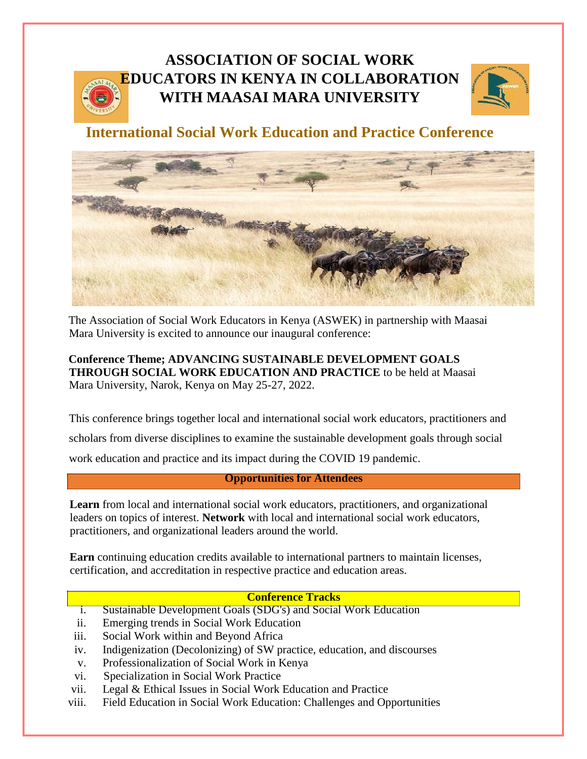# **ASSOCIATION OF SOCIAL WORK EDUCATORS IN KENYA IN COLLABORATION WITH MAASAI MARA UNIVERSITY**



**International Social Work Education and Practice Conference**



The Association of Social Work Educators in Kenya (ASWEK) in partnership with Maasai Mara University is excited to announce our inaugural conference:

**Conference Theme; ADVANCING SUSTAINABLE DEVELOPMENT GOALS THROUGH SOCIAL WORK EDUCATION AND PRACTICE** to be held at Maasai Mara University, Narok, Kenya on May 25-27, 2022.

This conference brings together local and international social work educators, practitioners and scholars from diverse disciplines to examine the sustainable development goals through social work education and practice and its impact during the COVID 19 pandemic.

## **Opportunities for Attendees**

**Learn** from local and international social work educators, practitioners, and organizational leaders on topics of interest. **Network** with local and international social work educators, practitioners, and organizational leaders around the world.

**Earn** continuing education credits available to international partners to maintain licenses, certification, and accreditation in respective practice and education areas.

# **Conference Tracks**

- i. Sustainable Development Goals (SDG's) and Social Work Education
- ii. Emerging trends in Social Work Education
- iii. Social Work within and Beyond Africa
- iv. Indigenization (Decolonizing) of SW practice, education, and discourses
- v. Professionalization of Social Work in Kenya
- vi. Specialization in Social Work Practice
- vii. Legal & Ethical Issues in Social Work Education and Practice
- viii. Field Education in Social Work Education: Challenges and Opportunities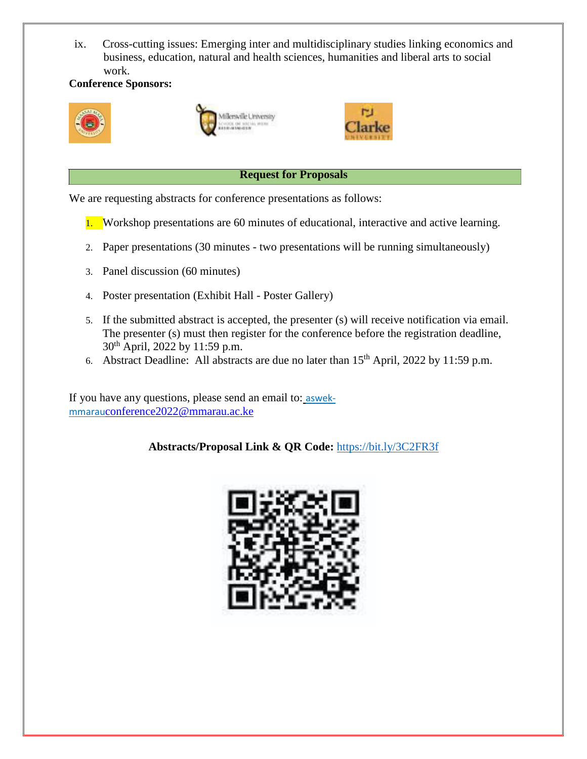ix. Cross-cutting issues: Emerging inter and multidisciplinary studies linking economics and business, education, natural and health sciences, humanities and liberal arts to social work.

## **Conference Sponsors:**







## **Request for Proposals**

We are requesting abstracts for conference presentations as follows:

- 1. Workshop presentations are 60 minutes of educational, interactive and active learning.
- 2. Paper presentations (30 minutes two presentations will be running simultaneously)
- 3. Panel discussion (60 minutes)
- 4. Poster presentation (Exhibit Hall Poster Gallery)
- 5. If the submitted abstract is accepted, the presenter (s) will receive notification via email. The presenter (s) must then register for the conference before the registration deadline, 30th April, 2022 by 11:59 p.m.
- 6. Abstract Deadline: All abstracts are due no later than 15th April, 2022 by 11:59 p.m.

If you have any questions, please send an email to: aswekmmarau[conference2022@mmarau.ac.ke](mailto:conference2022@mmarau.ac.ke)

**Abstracts/Proposal Link & QR Code:** <https://bit.ly/3C2FR3f>

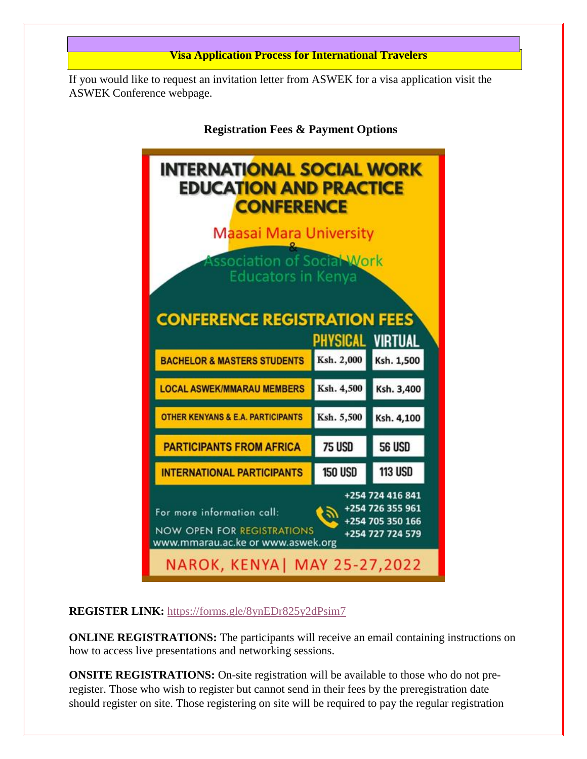

If you would like to request an invitation letter from ASWEK for a visa application visit the ASWEK Conference webpage.



**REGISTER LINK:** <https://forms.gle/8ynEDr825y2dPsim7>

**ONLINE REGISTRATIONS:** The participants will receive an email containing instructions on how to access live presentations and networking sessions.

**ONSITE REGISTRATIONS:** On-site registration will be available to those who do not preregister. Those who wish to register but cannot send in their fees by the preregistration date should register on site. Those registering on site will be required to pay the regular registration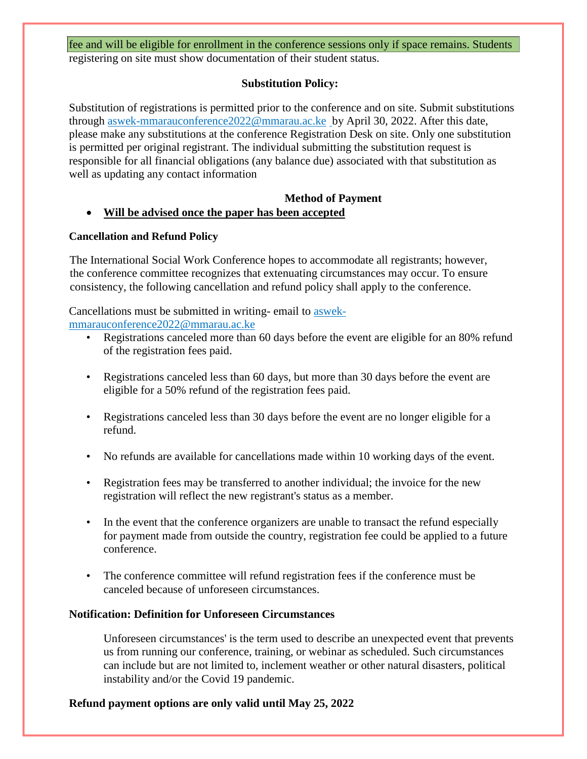## fee and will be eligible for enrollment in the conference sessions only if space remains. Students registering on site must show documentation of their student status.

## **Substitution Policy:**

Substitution of registrations is permitted prior to the conference and on site. Submit substitutions through aswek-mmara[uconference2022@mmarau.ac.ke](mailto:conference2022@mmarau.ac.ke) by April 30, 2022. After this date, please make any substitutions at the conference Registration Desk on site. Only one substitution is permitted per original registrant. The individual submitting the substitution request is responsible for all financial obligations (any balance due) associated with that substitution as well as updating any contact information

## **Method of Payment**

## **Will be advised once the paper has been accepted**

#### **Cancellation and Refund Policy**

The International Social Work Conference hopes to accommodate all registrants; however, the conference committee recognizes that extenuating circumstances may occur. To ensure consistency, the following cancellation and refund policy shall apply to the conference.

Cancellations must be submitted in writing- email to aswekmmara[uconference2022@mmarau.ac.ke](mailto:conference2022@mmarau.ac.ke)

- Registrations canceled more than 60 days before the event are eligible for an 80% refund of the registration fees paid.
- Registrations canceled less than 60 days, but more than 30 days before the event are eligible for a 50% refund of the registration fees paid.
- Registrations canceled less than 30 days before the event are no longer eligible for a refund.
- No refunds are available for cancellations made within 10 working days of the event.
- Registration fees may be transferred to another individual; the invoice for the new registration will reflect the new registrant's status as a member.
- In the event that the conference organizers are unable to transact the refund especially for payment made from outside the country, registration fee could be applied to a future conference.
- The conference committee will refund registration fees if the conference must be canceled because of unforeseen circumstances.

#### **Notification: Definition for Unforeseen Circumstances**

Unforeseen circumstances' is the term used to describe an unexpected event that prevents us from running our conference, training, or webinar as scheduled. Such circumstances can include but are not limited to, inclement weather or other natural disasters, political instability and/or the Covid 19 pandemic.

## **Refund payment options are only valid until May 25, 2022**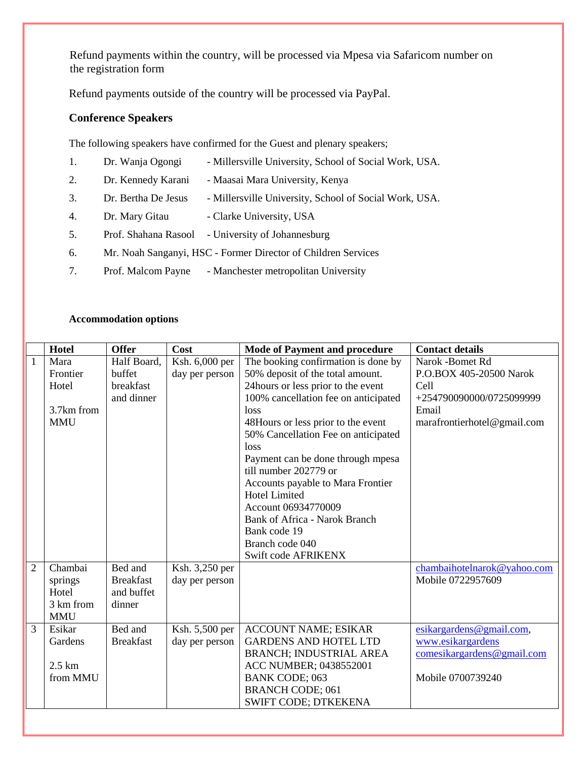Refund payments within the country, will be processed via Mpesa via Safaricom number on the registration form

Refund payments outside of the country will be processed via PayPal.

# **Conference Speakers**

The following speakers have confirmed for the Guest and plenary speakers;

| 1. | Dr. Wanja Ogongi                                              | - Millersville University, School of Social Work, USA. |  |
|----|---------------------------------------------------------------|--------------------------------------------------------|--|
| 2. | Dr. Kennedy Karani                                            | - Maasai Mara University, Kenya                        |  |
| 3. | Dr. Bertha De Jesus                                           | - Millersville University, School of Social Work, USA. |  |
| 4. | Dr. Mary Gitau                                                | - Clarke University, USA                               |  |
| 5. | Prof. Shahana Rasool                                          | - University of Johannesburg                           |  |
| 6. | Mr. Noah Sanganyi, HSC - Former Director of Children Services |                                                        |  |
| 7. | Prof. Malcom Payne                                            | - Manchester metropolitan University                   |  |

#### **Accommodation options**

|                | Hotel            | <b>Offer</b>     | Cost           | <b>Mode of Payment and procedure</b> | <b>Contact details</b>      |
|----------------|------------------|------------------|----------------|--------------------------------------|-----------------------------|
| 1              | Mara             | Half Board,      | Ksh. 6,000 per | The booking confirmation is done by  | Narok -Bomet Rd             |
|                | Frontier         | buffet           | day per person | 50% deposit of the total amount.     | P.O.BOX 405-20500 Narok     |
|                | Hotel            | breakfast        |                | 24 hours or less prior to the event  | Cell                        |
|                |                  | and dinner       |                | 100% cancellation fee on anticipated | +254790090000/0725099999    |
|                | 3.7km from       |                  |                | loss                                 | Email                       |
|                | <b>MMU</b>       |                  |                | 48Hours or less prior to the event   | marafrontierhotel@gmail.com |
|                |                  |                  |                | 50% Cancellation Fee on anticipated  |                             |
|                |                  |                  |                | loss                                 |                             |
|                |                  |                  |                | Payment can be done through mpesa    |                             |
|                |                  |                  |                | till number 202779 or                |                             |
|                |                  |                  |                | Accounts payable to Mara Frontier    |                             |
|                |                  |                  |                | <b>Hotel Limited</b>                 |                             |
|                |                  |                  |                | Account 06934770009                  |                             |
|                |                  |                  |                | Bank of Africa - Narok Branch        |                             |
|                |                  |                  |                | Bank code 19                         |                             |
|                |                  |                  |                | Branch code 040                      |                             |
|                |                  |                  |                | Swift code AFRIKENX                  |                             |
| $\overline{2}$ | Chambai          | Bed and          | Ksh. 3,250 per |                                      | chambaihotelnarok@yahoo.com |
|                | springs          | <b>Breakfast</b> | day per person |                                      | Mobile 0722957609           |
|                | Hotel            | and buffet       |                |                                      |                             |
|                | 3 km from        | dinner           |                |                                      |                             |
|                | <b>MMU</b>       |                  |                |                                      |                             |
| 3              | Esikar           | Bed and          | Ksh. 5,500 per | <b>ACCOUNT NAME; ESIKAR</b>          | esikargardens@gmail.com,    |
|                | Gardens          | <b>Breakfast</b> | day per person | <b>GARDENS AND HOTEL LTD</b>         | www.esikargardens           |
|                |                  |                  |                | BRANCH; INDUSTRIAL AREA              | comesikargardens@gmail.com  |
|                | $2.5 \text{ km}$ |                  |                | ACC NUMBER; 0438552001               |                             |
|                | from MMU         |                  |                | <b>BANK CODE; 063</b>                | Mobile 0700739240           |
|                |                  |                  |                | <b>BRANCH CODE; 061</b>              |                             |
|                |                  |                  |                | SWIFT CODE; DTKEKENA                 |                             |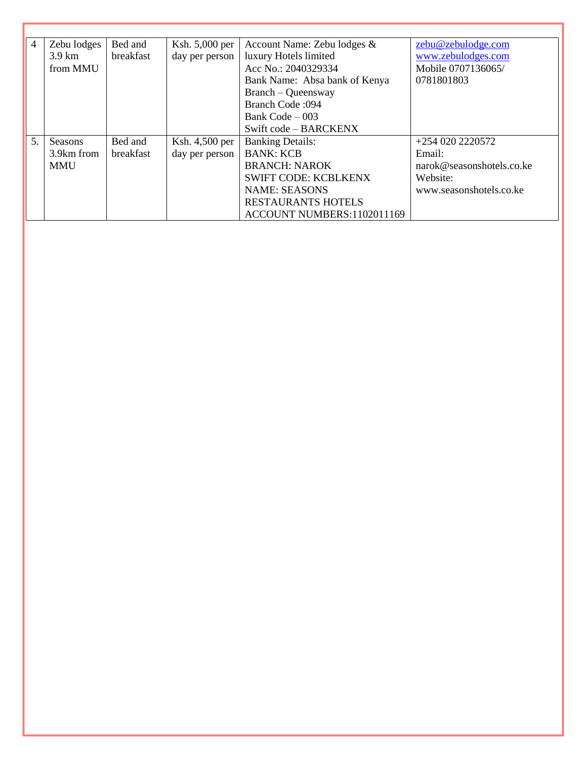| $\overline{4}$ | Zebu lodges | Bed and   | Ksh. 5,000 per | Account Name: Zebu lodges &   | zebu@zebulodge.com        |
|----------------|-------------|-----------|----------------|-------------------------------|---------------------------|
|                | 3.9 km      | breakfast | day per person | luxury Hotels limited         | www.zebulodges.com        |
|                | from MMU    |           |                | Acc No.: 2040329334           | Mobile 0707136065/        |
|                |             |           |                | Bank Name: Absa bank of Kenya | 0781801803                |
|                |             |           |                | Branch – Queensway            |                           |
|                |             |           |                | <b>Branch Code: 094</b>       |                           |
|                |             |           |                | Bank Code $-003$              |                           |
|                |             |           |                | Swift code - BARCKENX         |                           |
| 5.             | Seasons     | Bed and   | Ksh. 4,500 per | <b>Banking Details:</b>       | +254 020 2220572          |
|                | 3.9km from  | breakfast | day per person | <b>BANK: KCB</b>              | Email:                    |
|                | <b>MMU</b>  |           |                | <b>BRANCH: NAROK</b>          | narok@seasonshotels.co.ke |
|                |             |           |                | <b>SWIFT CODE: KCBLKENX</b>   | Website:                  |
|                |             |           |                | <b>NAME: SEASONS</b>          | www.seasonshotels.co.ke   |
|                |             |           |                | <b>RESTAURANTS HOTELS</b>     |                           |
|                |             |           |                | ACCOUNT NUMBERS:1102011169    |                           |